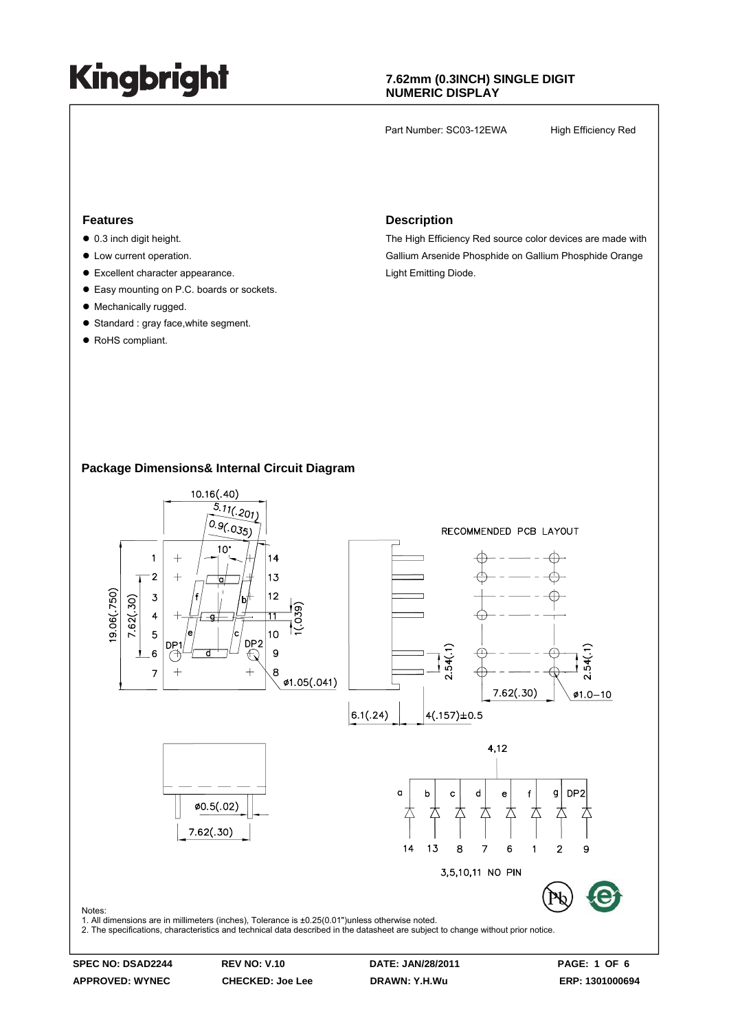### **7.62mm (0.3INCH) SINGLE DIGIT NUMERIC DISPLAY**

Part Number: SC03-12EWA High Efficiency Red

#### **Features**

- $\bullet$  0.3 inch digit height.
- $\bullet$  Low current operation.
- $\bullet$  Excellent character appearance.
- Easy mounting on P.C. boards or sockets.
- Mechanically rugged.
- Standard : gray face, white segment.
- RoHS compliant.

#### **Description**

The High Efficiency Red source color devices are made with Gallium Arsenide Phosphide on Gallium Phosphide Orange Light Emitting Diode.

### **Package Dimensions& Internal Circuit Diagram**



**SPEC NO: DSAD2244 REV NO: V.10 DATE: JAN/28/2011 PAGE: 1 OF 6 APPROVED: WYNEC CHECKED: Joe Lee DRAWN: Y.H.Wu ERP: 1301000694**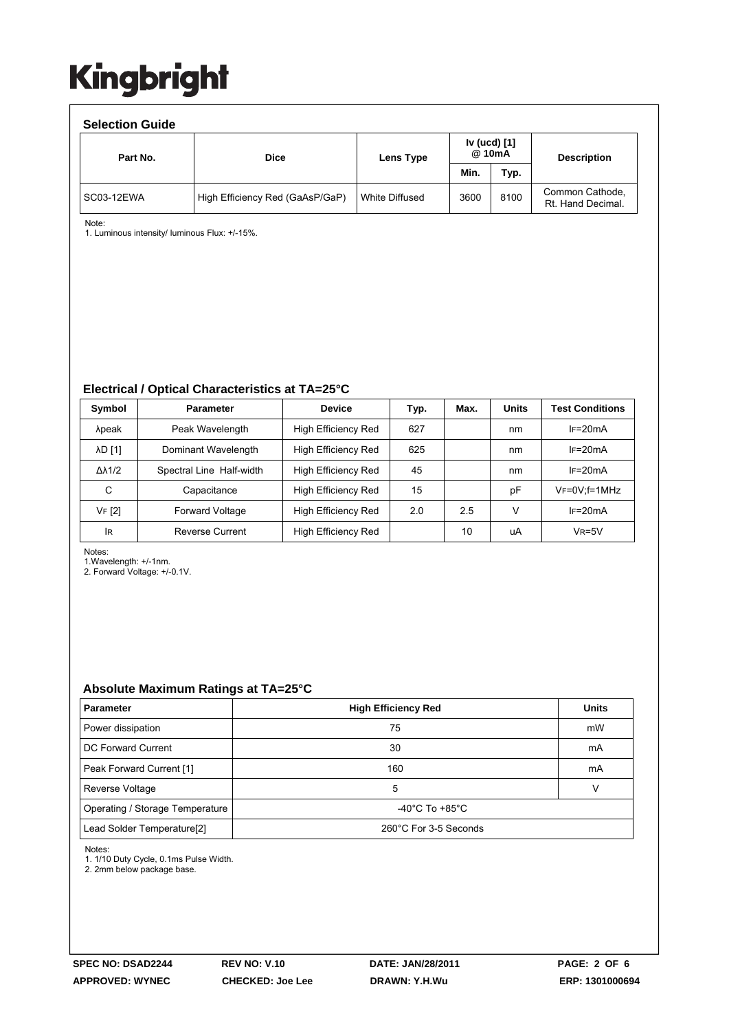| <b>Selection Guide</b> |                                 |                |                        |      |                                      |  |  |  |  |
|------------------------|---------------------------------|----------------|------------------------|------|--------------------------------------|--|--|--|--|
| Part No.               | <b>Dice</b>                     | Lens Type      | Iv (ucd) [1]<br>@ 10mA |      | <b>Description</b>                   |  |  |  |  |
|                        |                                 |                | Min.                   | Typ. |                                      |  |  |  |  |
| SC03-12EWA             | High Efficiency Red (GaAsP/GaP) | White Diffused | 3600                   | 8100 | Common Cathode,<br>Rt. Hand Decimal. |  |  |  |  |

Note:

1. Luminous intensity/ luminous Flux: +/-15%.

#### **Electrical / Optical Characteristics at TA=25°C**

| Symbol              | <b>Parameter</b>         | <b>Device</b>       | Typ. | Max. | <b>Units</b> | <b>Test Conditions</b> |
|---------------------|--------------------------|---------------------|------|------|--------------|------------------------|
| λpeak               | Peak Wavelength          | High Efficiency Red | 627  |      | nm           | $IF=20mA$              |
| <b>AD [1]</b>       | Dominant Wavelength      | High Efficiency Red | 625  |      | nm           | $IF=20mA$              |
| $\Delta\lambda$ 1/2 | Spectral Line Half-width | High Efficiency Red | 45   |      | nm           | $I = 20mA$             |
| С                   | Capacitance              | High Efficiency Red | 15   |      | pF           | $V_F = 0V$ : f = 1MHz  |
| VF [2]              | <b>Forward Voltage</b>   | High Efficiency Red | 2.0  | 2.5  | ν            | $IF=20mA$              |
| <b>IR</b>           | Reverse Current          | High Efficiency Red |      | 10   | uA           | $V_R = 5V$             |

Notes:

1.Wavelength: +/-1nm.

2. Forward Voltage: +/-0.1V.

#### **Absolute Maximum Ratings at TA=25°C**

| <b>Parameter</b>                       | <b>High Efficiency Red</b>           |    |  |  |
|----------------------------------------|--------------------------------------|----|--|--|
| Power dissipation                      | 75                                   | mW |  |  |
| DC Forward Current                     | 30                                   | mA |  |  |
| Peak Forward Current [1]               | 160                                  | mA |  |  |
| Reverse Voltage                        | 5                                    |    |  |  |
| Operating / Storage Temperature        | -40 $^{\circ}$ C To +85 $^{\circ}$ C |    |  |  |
| Lead Solder Temperature <sup>[2]</sup> | 260°C For 3-5 Seconds                |    |  |  |

Notes:

1. 1/10 Duty Cycle, 0.1ms Pulse Width.

2. 2mm below package base.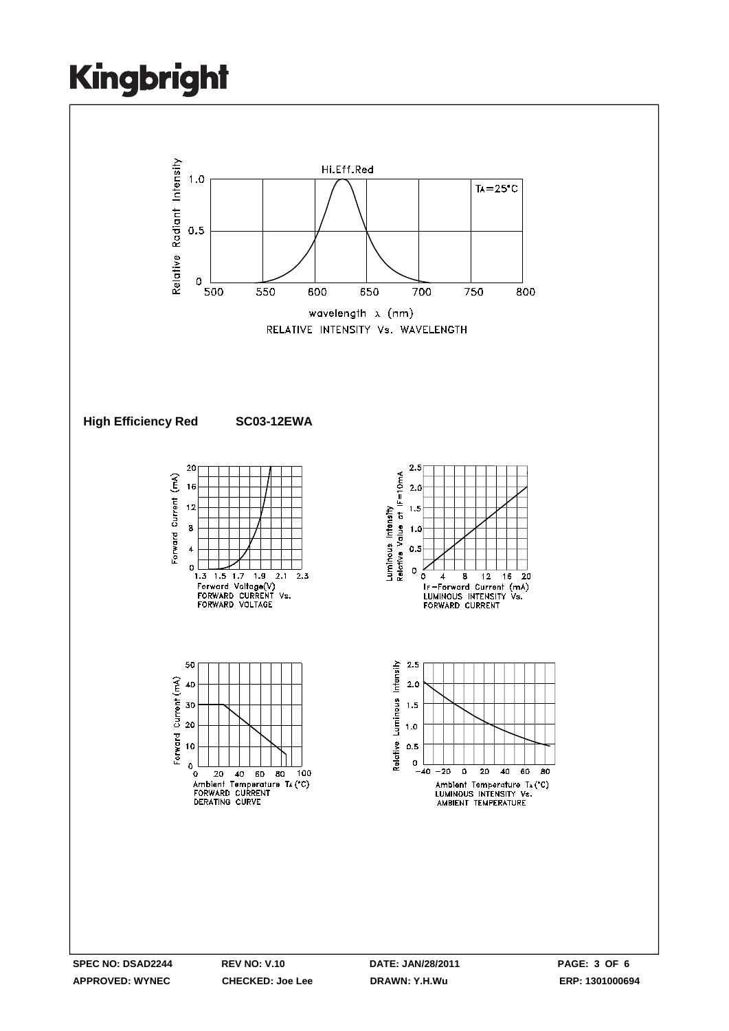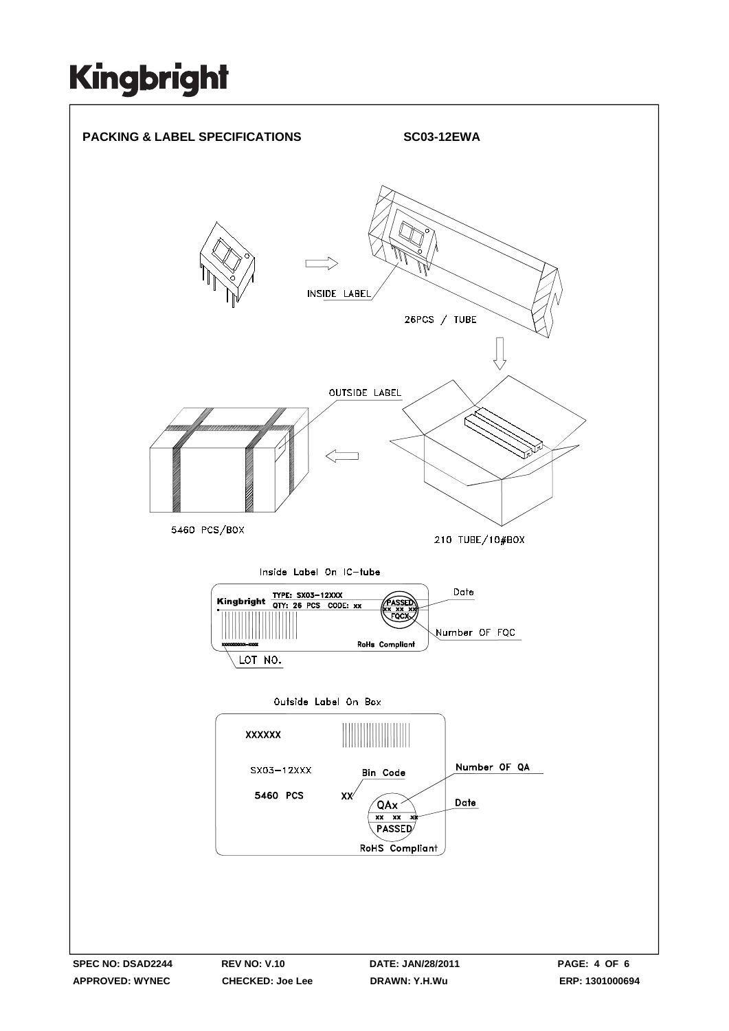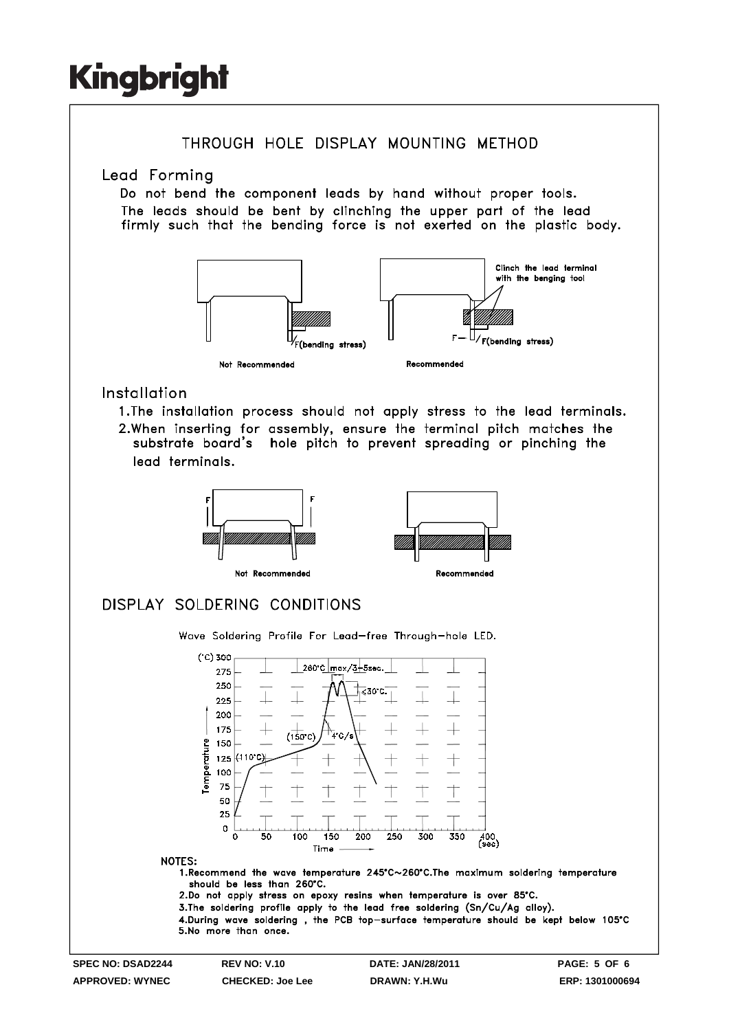